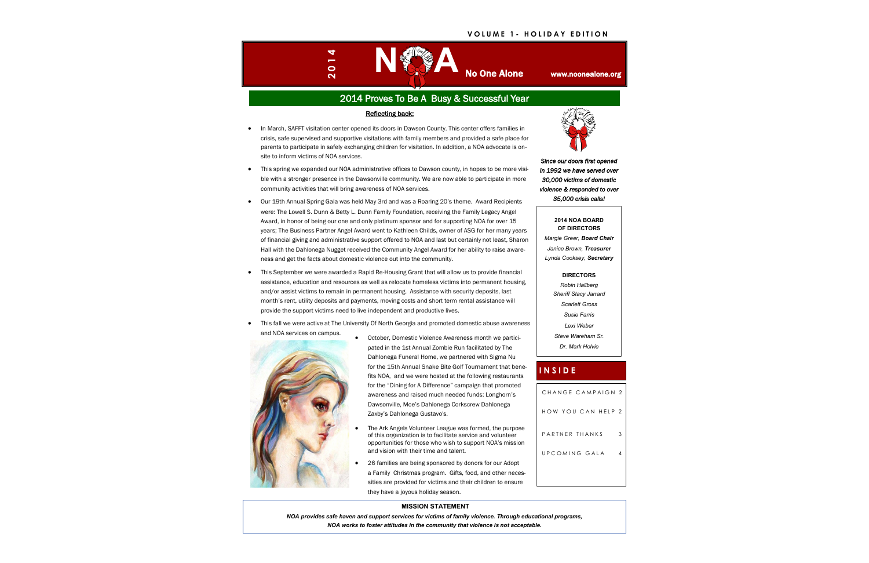# 2014 Proves To Be A Busy & Successful Year

# **I N S I D E**

#### **V O L U M E 1 - H O L I D A Y E D I T I O N**



| CHANGE CAMPAIGN 2  |   |
|--------------------|---|
| HOW YOU CAN HELP 2 |   |
| PARTNER THANKS     | 3 |
| UPCOMING GAI A     |   |
|                    |   |

#### **MISSION STATEMENT**



*NOA provides safe haven and support services for victims of family violence. Through educational programs, NOA works to foster attitudes in the community that violence is not acceptable.*



**2014 NOA BOARD OF DIRECTORS** *Margie Greer, Board Chair Janice Brown, Treasurer Lynda Cooksey, Secretary*

**DIRECTORS**

*Robin Hallberg Sheriff Stacy Jarrard*

*Scarlett Gross Susie Farris Lexi Weber*

*Steve Wareham Sr.*

*Dr. Mark Helvie*

#### Reflecting back:

- In March, SAFFT visitation center opened its doors in Dawson County. This center offers families in crisis, safe supervised and supportive visitations with family members and provided a safe place for parents to participate in safely exchanging children for visitation. In addition, a NOA advocate is onsite to inform victims of NOA services.
- This spring we expanded our NOA administrative offices to Dawson county, in hopes to be more visible with a stronger presence in the Dawsonville community. We are now able to participate in more community activities that will bring awareness of NOA services.
- Our 19th Annual Spring Gala was held May 3rd and was a Roaring 20's theme. Award Recipients were: The Lowell S. Dunn & Betty L. Dunn Family Foundation, receiving the Family Legacy Angel Award, in honor of being our one and only platinum sponsor and for supporting NOA for over 15 years; The Business Partner Angel Award went to Kathleen Childs, owner of ASG for her many years of financial giving and administrative support offered to NOA and last but certainly not least, Sharon Hall with the Dahlonega Nugget received the Community Angel Award for her ability to raise awareness and get the facts about domestic violence out into the community.
- This September we were awarded a Rapid Re-Housing Grant that will allow us to provide financial assistance, education and resources as well as relocate homeless victims into permanent housing, and/or assist victims to remain in permanent housing. Assistance with security deposits, last month's rent, utility deposits and payments, moving costs and short term rental assistance will provide the support victims need to live independent and productive lives.
- This fall we were active at The University Of North Georgia and promoted domestic abuse awareness and NOA services on campus.



- October, Domestic Violence Awareness month we participated in the 1st Annual Zombie Run facilitated by The Dahlonega Funeral Home, we partnered with Sigma Nu for the 15th Annual Snake Bite Golf Tournament that benefits NOA, and we were hosted at the following restaurants for the "Dining for A Difference" campaign that promoted awareness and raised much needed funds: Longhorn's Dawsonville, Moe's Dahlonega Corkscrew Dahlonega Zaxby's Dahlonega Gustavo's.
- The Ark Angels Volunteer League was formed, the purpose of this organization is to facilitate service and volunteer opportunities for those who wish to support NOA's mission and vision with their time and talent.
- 26 families are being sponsored by donors for our Adopt a Family Christmas program. Gifts, food, and other necessities are provided for victims and their children to ensure they have a joyous holiday season.

*Since our doors first opened in 1992 we have served over 30,000 victims of domestic violence & responded to over 35,000 crisis calls!*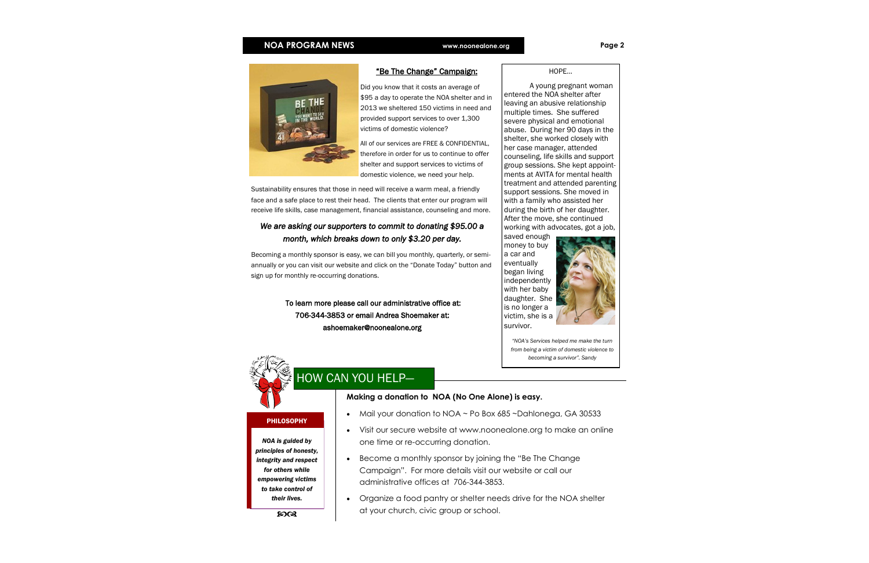### **Making a donation to NOA (No One Alone) is easy.**

### • Mail your donation to NOA ~ Po Box 685 ~Dahlonega, GA 30533

- Visit our secure website at www.noonealone.org to make an online one time or re-occurring donation.
- Become a monthly sponsor by joining the "Be The Change" Campaign". For more details visit our website or call our administrative offices at 706-344-3853.
- Organize a food pantry or shelter needs drive for the NOA shelter at your church, civic group or school.

PHILOSOPHY

*NOA is guided by principles of honesty, integrity and respect for others while empowering victims to take control of their lives.*

### **NOA PROGRAM NEWS www.noonealone.org Page 2**



HOPE…

A young pregnant woman entered the NOA shelter after leaving an abusive relationship multiple times. She suffered severe physical and emotional abuse. During her 90 days in the shelter, she worked closely with her case manager, attended counseling, life skills and support group sessions. She kept appointments at AVITA for mental health treatment and attended parenting support sessions. She moved in with a family who assisted her during the birth of her daughter. After the move, she continued working with advocates, got a job,

saved enough money to buy a car and eventually began living independently with her baby daughter. She is no longer a victim, she is a survivor.



*"NOA's Services helped me make the turn from being a victim of domestic violence to becoming a survivor". Sandy*



# HOW CAN YOU HELP—

# "Be The Change" Campaign:

Did you know that it costs an average of \$95 a day to operate the NOA shelter and in 2013 we sheltered 150 victims in need and provided support services to over 1,300 victims of domestic violence?

All of our services are FREE & CONFIDENTIAL, therefore in order for us to continue to offer shelter and support services to victims of domestic violence, we need your help.

Sustainability ensures that those in need will receive a warm meal, a friendly face and a safe place to rest their head. The clients that enter our program will receive life skills, case management, financial assistance, counseling and more.

# *We are asking our supporters to commit to donating \$95.00 a month, which breaks down to only \$3.20 per day.*

Becoming a monthly sponsor is easy, we can bill you monthly, quarterly, or semiannually or you can visit our website and click on the "Donate Today" button and sign up for monthly re-occurring donations.

> To learn more please call our administrative office at: 706-344-3853 or email Andrea Shoemaker at: ashoemaker@noonealone.org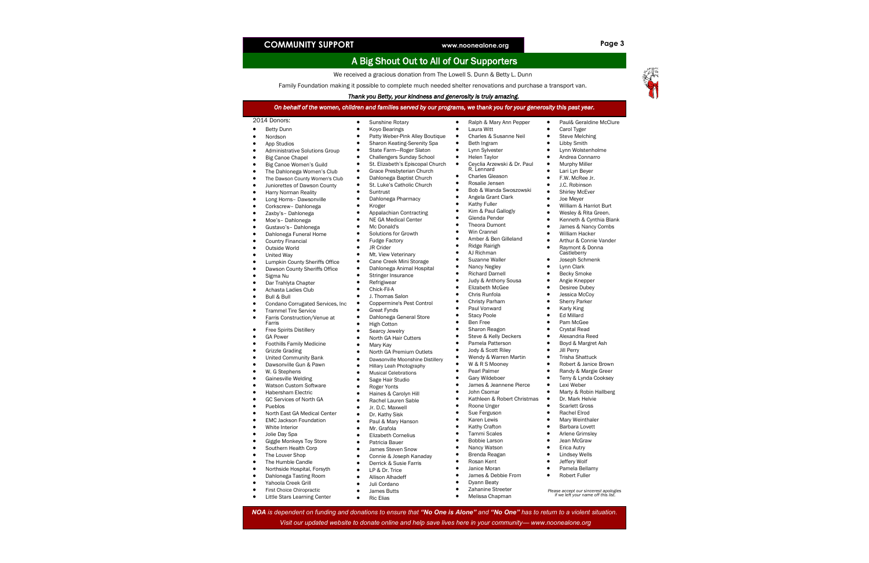# **COMMUNITY SUPPORT www.noonealone.org Page 3**

# A Big Shout Out to All of Our Supporters

We received a gracious donation from The Lowell S. Dunn & Betty L. Dunn

Family Foundation making it possible to complete much needed shelter renovations and purchase a transport van.

#### *Thank you Betty, your kindness and generosity is truly amazing.*

- Yahoola Creek Grill
- **•** First Choice Chiropractic
- **•** Little Stars Learning Center
- Ric Elias
- Melissa Chapman *Please accept our sincerest apologies if we left your name off this list.*
- Juli Cordano
- **•** James Butts
	-

| Thank you betty, your Kindhess and generosity is truly amazing.<br>On behalf of the women, children and families served by our programs, we thank you for your generosity this past year.                                                                                                                                                                                                                                                                                                                                                                                                                                                                                                                                                                                                                                                                                                                                                                                                                                                                                                                                                                                                                                                                                                                                                    |                                                                                                                                                                                                                                                                                                                                                                                                                                                                                                                                                                                                                                                                                                                                                                                                                                                                                                                                                                                                                                                                                                                                                                |                                                                                                                                                                                                                                                                                                                                                                                                                                                                                                                                                                                                                                                                                                                                                                                                                                                                                                                                                                                                                                                                         |                                                                                                                                                                                                                                                                                                                                                                                                                                                                                                                                                                                                                                                                                                                                                                                                                                                                                                                        |  |
|----------------------------------------------------------------------------------------------------------------------------------------------------------------------------------------------------------------------------------------------------------------------------------------------------------------------------------------------------------------------------------------------------------------------------------------------------------------------------------------------------------------------------------------------------------------------------------------------------------------------------------------------------------------------------------------------------------------------------------------------------------------------------------------------------------------------------------------------------------------------------------------------------------------------------------------------------------------------------------------------------------------------------------------------------------------------------------------------------------------------------------------------------------------------------------------------------------------------------------------------------------------------------------------------------------------------------------------------|----------------------------------------------------------------------------------------------------------------------------------------------------------------------------------------------------------------------------------------------------------------------------------------------------------------------------------------------------------------------------------------------------------------------------------------------------------------------------------------------------------------------------------------------------------------------------------------------------------------------------------------------------------------------------------------------------------------------------------------------------------------------------------------------------------------------------------------------------------------------------------------------------------------------------------------------------------------------------------------------------------------------------------------------------------------------------------------------------------------------------------------------------------------|-------------------------------------------------------------------------------------------------------------------------------------------------------------------------------------------------------------------------------------------------------------------------------------------------------------------------------------------------------------------------------------------------------------------------------------------------------------------------------------------------------------------------------------------------------------------------------------------------------------------------------------------------------------------------------------------------------------------------------------------------------------------------------------------------------------------------------------------------------------------------------------------------------------------------------------------------------------------------------------------------------------------------------------------------------------------------|------------------------------------------------------------------------------------------------------------------------------------------------------------------------------------------------------------------------------------------------------------------------------------------------------------------------------------------------------------------------------------------------------------------------------------------------------------------------------------------------------------------------------------------------------------------------------------------------------------------------------------------------------------------------------------------------------------------------------------------------------------------------------------------------------------------------------------------------------------------------------------------------------------------------|--|
|                                                                                                                                                                                                                                                                                                                                                                                                                                                                                                                                                                                                                                                                                                                                                                                                                                                                                                                                                                                                                                                                                                                                                                                                                                                                                                                                              |                                                                                                                                                                                                                                                                                                                                                                                                                                                                                                                                                                                                                                                                                                                                                                                                                                                                                                                                                                                                                                                                                                                                                                |                                                                                                                                                                                                                                                                                                                                                                                                                                                                                                                                                                                                                                                                                                                                                                                                                                                                                                                                                                                                                                                                         |                                                                                                                                                                                                                                                                                                                                                                                                                                                                                                                                                                                                                                                                                                                                                                                                                                                                                                                        |  |
| 2014 Donors:<br><b>Betty Dunn</b><br>$\bullet$<br>Nordson<br>$\bullet$<br>App Studios<br>$\bullet$<br><b>Administrative Solutions Group</b><br>$\bullet$<br><b>Big Canoe Chapel</b><br>$\bullet$<br>$\bullet$<br>Big Canoe Women's Guild<br>The Dahlonega Women's Club<br>$\bullet$<br>The Dawson County Women's Club<br>$\bullet$<br>$\bullet$<br>Juniorettes of Dawson County<br>$\bullet$<br>Harry Norman Reality<br>Long Horns- Dawsonville<br>$\bullet$<br>$\bullet$<br>Corkscrew-Dahlonega<br>Zaxby's-Dahlonega<br>٠<br>Moe's-Dahlonega<br>$\bullet$<br>Gustavo's- Dahlonega<br>$\bullet$<br>Dahlonega Funeral Home<br>$\bullet$<br><b>Country Financial</b><br>$\bullet$<br>Outside World<br>$\bullet$<br>United Way<br>$\bullet$<br>$\bullet$<br>Lumpkin County Sheriffs Office<br>Dawson County Sheriffs Office<br>$\bullet$<br>Sigma Nu<br>$\bullet$<br>Dar Trahlyta Chapter<br>$\bullet$<br>Achasta Ladies Club<br>$\bullet$<br>Bull & Bull<br>$\bullet$<br>Condano Corrugated Services, Inc.<br>$\bullet$<br><b>Trammel Tire Service</b><br>$\bullet$<br>Farris Construction/Venue at<br>$\bullet$<br>Farris<br>$\bullet$<br><b>Free Spirits Distillery</b><br><b>GA Power</b><br>$\bullet$<br><b>Foothills Family Medicine</b><br>$\bullet$<br><b>Grizzle Grading</b><br>$\bullet$<br><b>United Community Bank</b><br>$\bullet$ | Sunshine Rotary<br>$\bullet$<br>Koyo Bearings<br>$\bullet$<br>Patty Weber-Pink Alley Boutique<br>Sharon Keating-Serenity Spa<br>$\bullet$<br>State Farm-Roger Slaton<br>Ġ<br><b>Challengers Sunday School</b><br>$\bullet$<br>St. Elizabeth's Episcopal Church<br>$\bullet$<br>Grace Presbyterian Church<br>$\bullet$<br>Dahlonega Baptist Church<br>$\bullet$<br>St. Luke's Catholic Church<br>$\bullet$<br>Suntrust<br>Dahlonega Pharmacy<br>$\bullet$<br>Kroger<br>$\bullet$<br>Appalachian Contracting<br>NE GA Medical Center<br>Mc Donald's<br>$\bullet$<br>Solutions for Growth<br><b>Fudge Factory</b><br>$\bullet$<br>JR Crider<br>$\bullet$<br>Mt. View Veterinary<br>$\bullet$<br>Cane Creek Mini Storage<br>$\bullet$<br>Dahlonega Animal Hospital<br>Stringer Insurance<br>$\bullet$<br>Refrigiwear<br>$\bullet$<br>Chick-Fil-A<br>$\bullet$<br>J. Thomas Salon<br>$\bullet$<br>Coppermine's Pest Control<br>$\bullet$<br><b>Great Fynds</b><br>$\bullet$<br>Dahlonega General Store<br>$\bullet$<br><b>High Cotton</b><br>Searcy Jewelry<br>$\bullet$<br>North GA Hair Cutters<br>Mary Kay<br>North GA Premium Outlets<br>$\bullet$<br>$\bullet$ | Ralph & Mary Ann Pepper<br>$\bullet$<br>$\bullet$<br>Laura Witt<br>Charles & Susanne Neil<br>٠<br>$\bullet$<br>Beth Ingram<br>Lynn Sylvester<br>$\bullet$<br>Helen Taylor<br>$\bullet$<br>Ceyclia Arzewski & Dr. Paul<br>$\bullet$<br>R. Lennard<br><b>Charles Gleason</b><br>$\bullet$<br>Rosalie Jensen<br>٠<br>Bob & Wanda Swoszowski<br>$\bullet$<br>$\bullet$<br>Angela Grant Clark<br>Kathy Fuller<br>$\bullet$<br>Kim & Paul Gallogly<br>$\bullet$<br>Glenda Pender<br>$\bullet$<br><b>Theora Dumont</b><br>Win Crannel<br>$\bullet$<br>Amber & Ben Gilleland<br>$\bullet$<br>Ridge Rairigh<br>$\bullet$<br>AJ Richman<br>$\bullet$<br>Suzanne Waller<br>Nancy Negley<br><b>Richard Darnell</b><br>$\bullet$<br>$\bullet$<br>Judy & Anthony Sousa<br><b>Elizabeth McGee</b><br>$\bullet$<br>Chris Runfola<br>$\bullet$<br>Christy Parham<br>Paul Vonward<br><b>Stacy Poole</b><br>٠<br>Ben Free<br>$\bullet$<br>Sharon Reagon<br>$\bullet$<br>Steve & Kelly Deckers<br>Pamela Patterson<br>$\bullet$<br>Jody & Scott Riley<br>$\bullet$<br>Wendy & Warren Martin | Paul& Geraldine McClure<br>$\bullet$<br>Carol Tyger<br><b>Steve Melching</b><br>٠<br><b>Libby Smith</b><br>$\bullet$<br>Lynn Wolstenholme<br>Andrea Connarro<br>$\bullet$<br><b>Murphy Miller</b><br>$\bullet$<br>Lari Lyn Beyer<br>F.W. McRee Jr.<br>J.C. Robinson<br>$\bullet$<br>Shirley McEver<br>Joe Meyer<br>$\bullet$<br>William & Harriot Burt<br>Wesley & Rita Green.<br>$\bullet$<br>Kenneth & Cynthia Blank<br>$\bullet$<br>James & Nancy Combs<br>$\bullet$<br>William Hacker<br>Arthur & Connie Vander<br>Raymont & Donna<br>$\bullet$<br>Castleberry<br>Joseph Schmenk<br>$\bullet$<br>Lynn Clark<br><b>Becky Smoke</b><br>$\bullet$<br>Angie Knepper<br><b>Desiree Dubey</b><br>Jessica McCoy<br>$\bullet$<br><b>Sherry Parker</b><br>Karly King<br><b>Ed Millard</b><br>Pam McGee<br><b>Crystal Read</b><br>Alexandria Reed<br>Boyd & Margret Ash<br>Jill Perry<br>$\bullet$<br><b>Trisha Shattuck</b> |  |
| Dawsonville Gun & Pawn<br>$\bullet$<br>W. G Stephens<br>$\bullet$<br><b>Gainesville Welding</b><br>$\bullet$<br>Watson Custom Software<br>$\bullet$<br><b>Habersham Electric</b><br>$\bullet$<br>GC Services of North GA<br>٠                                                                                                                                                                                                                                                                                                                                                                                                                                                                                                                                                                                                                                                                                                                                                                                                                                                                                                                                                                                                                                                                                                                | Dawsonville Moonshine Distillery<br>Hillary Leah Photography<br><b>Musical Celebrations</b><br>Sage Hair Studio<br><b>Roger Yonts</b><br>Haines & Carolyn Hill<br>ė<br>Rachel Lauren Sable                                                                                                                                                                                                                                                                                                                                                                                                                                                                                                                                                                                                                                                                                                                                                                                                                                                                                                                                                                     | W & R S Mooney<br>$\bullet$<br>Pearl Palmer<br>$\bullet$<br>Gary Wildeboer<br>$\bullet$<br>James & Jeannene Pierce<br>$\bullet$<br>John Csomar<br>٠<br>Kathleen & Robert Christmas<br>$\bullet$                                                                                                                                                                                                                                                                                                                                                                                                                                                                                                                                                                                                                                                                                                                                                                                                                                                                         | Robert & Janice Brown<br>Randy & Margie Greer<br>$\bullet$<br>Terry & Lynda Cooksey<br>$\bullet$<br>Lexi Weber<br>$\bullet$<br>Marty & Robin Hallberg<br>Dr. Mark Helvie<br>$\bullet$                                                                                                                                                                                                                                                                                                                                                                                                                                                                                                                                                                                                                                                                                                                                  |  |
| $\bullet$<br>Pueblos<br>North East GA Medical Center<br>$\bullet$<br><b>EMC Jackson Foundation</b><br>$\bullet$<br>White Interior<br>$\bullet$<br>Jolie Day Spa<br>٠<br>Giggle Monkeys Toy Store<br>$\bullet$<br>Southern Health Corp<br>$\bullet$<br>The Louver Shop<br>$\bullet$<br>The Humble Candle<br>$\bullet$<br>Northside Hospital, Forsyth<br>$\bullet$<br>Dahlonega Tasting Room<br>٠                                                                                                                                                                                                                                                                                                                                                                                                                                                                                                                                                                                                                                                                                                                                                                                                                                                                                                                                              | Jr. D.C. Maxwell<br>$\bullet$<br>Dr. Kathy Sisk<br>$\bullet$<br>Paul & Mary Hanson<br>Mr. Grafola<br>Elizabeth Cornelius<br>c<br>Patricia Bauer<br>James Steven Snow<br>c<br>Connie & Joseph Kanaday<br>$\bullet$<br>Derrick & Susie Farris<br>LP & Dr. Trice<br>Allison Alhadeff                                                                                                                                                                                                                                                                                                                                                                                                                                                                                                                                                                                                                                                                                                                                                                                                                                                                              | Roone Unger<br>$\bullet$<br>Sue Ferguson<br>Karen Lewis<br>٠<br>Kathy Crafton<br>$\bullet$<br>Tammi Scales<br>Bobbie Larson<br>$\bullet$<br>Nancy Watson<br>٠<br>Brenda Reagan<br>Rosan Kent<br>Janice Moran<br>James & Debbie From<br>$\bullet$                                                                                                                                                                                                                                                                                                                                                                                                                                                                                                                                                                                                                                                                                                                                                                                                                        | <b>Scarlett Gross</b><br>Rachel Elrod<br>Mary Weinthaler<br>Barbara Lovett<br>Arlene Grimsley<br>Jean McGraw<br>Erica Autry<br><b>Lindsey Wells</b><br>Jeffery Wolf<br>Pamela Bellamy<br>Robert Fuller                                                                                                                                                                                                                                                                                                                                                                                                                                                                                                                                                                                                                                                                                                                 |  |
| Yahoola Creek Grill<br>$\bullet$                                                                                                                                                                                                                                                                                                                                                                                                                                                                                                                                                                                                                                                                                                                                                                                                                                                                                                                                                                                                                                                                                                                                                                                                                                                                                                             | Juli Cordano<br>$\bullet$                                                                                                                                                                                                                                                                                                                                                                                                                                                                                                                                                                                                                                                                                                                                                                                                                                                                                                                                                                                                                                                                                                                                      | $\bullet$<br>Dyann Beaty                                                                                                                                                                                                                                                                                                                                                                                                                                                                                                                                                                                                                                                                                                                                                                                                                                                                                                                                                                                                                                                |                                                                                                                                                                                                                                                                                                                                                                                                                                                                                                                                                                                                                                                                                                                                                                                                                                                                                                                        |  |

*NOA is dependent on funding and donations to ensure that "No One is Alone" and "No One" has to return to a violent situation. Visit our updated website to donate online and help save lives here in your community— www.noonealone.org*

**•** Zahanine Streeter